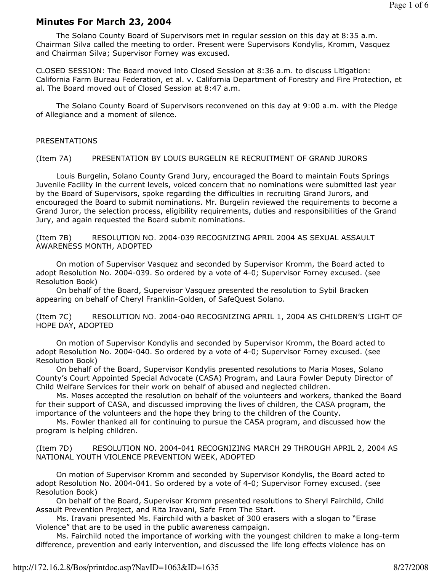### Minutes For March 23, 2004

 The Solano County Board of Supervisors met in regular session on this day at 8:35 a.m. Chairman Silva called the meeting to order. Present were Supervisors Kondylis, Kromm, Vasquez and Chairman Silva; Supervisor Forney was excused.

CLOSED SESSION: The Board moved into Closed Session at 8:36 a.m. to discuss Litigation: California Farm Bureau Federation, et al. v. California Department of Forestry and Fire Protection, et al. The Board moved out of Closed Session at 8:47 a.m.

 The Solano County Board of Supervisors reconvened on this day at 9:00 a.m. with the Pledge of Allegiance and a moment of silence.

#### PRESENTATIONS

(Item 7A) PRESENTATION BY LOUIS BURGELIN RE RECRUITMENT OF GRAND JURORS

 Louis Burgelin, Solano County Grand Jury, encouraged the Board to maintain Fouts Springs Juvenile Facility in the current levels, voiced concern that no nominations were submitted last year by the Board of Supervisors, spoke regarding the difficulties in recruiting Grand Jurors, and encouraged the Board to submit nominations. Mr. Burgelin reviewed the requirements to become a Grand Juror, the selection process, eligibility requirements, duties and responsibilities of the Grand Jury, and again requested the Board submit nominations.

(Item 7B) RESOLUTION NO. 2004-039 RECOGNIZING APRIL 2004 AS SEXUAL ASSAULT AWARENESS MONTH, ADOPTED

 On motion of Supervisor Vasquez and seconded by Supervisor Kromm, the Board acted to adopt Resolution No. 2004-039. So ordered by a vote of 4-0; Supervisor Forney excused. (see Resolution Book)

 On behalf of the Board, Supervisor Vasquez presented the resolution to Sybil Bracken appearing on behalf of Cheryl Franklin-Golden, of SafeQuest Solano.

(Item 7C) RESOLUTION NO. 2004-040 RECOGNIZING APRIL 1, 2004 AS CHILDREN'S LIGHT OF HOPE DAY, ADOPTED

 On motion of Supervisor Kondylis and seconded by Supervisor Kromm, the Board acted to adopt Resolution No. 2004-040. So ordered by a vote of 4-0; Supervisor Forney excused. (see Resolution Book)

 On behalf of the Board, Supervisor Kondylis presented resolutions to Maria Moses, Solano County's Court Appointed Special Advocate (CASA) Program, and Laura Fowler Deputy Director of Child Welfare Services for their work on behalf of abused and neglected children.

 Ms. Moses accepted the resolution on behalf of the volunteers and workers, thanked the Board for their support of CASA, and discussed improving the lives of children, the CASA program, the importance of the volunteers and the hope they bring to the children of the County.

 Ms. Fowler thanked all for continuing to pursue the CASA program, and discussed how the program is helping children.

(Item 7D) RESOLUTION NO. 2004-041 RECOGNIZING MARCH 29 THROUGH APRIL 2, 2004 AS NATIONAL YOUTH VIOLENCE PREVENTION WEEK, ADOPTED

 On motion of Supervisor Kromm and seconded by Supervisor Kondylis, the Board acted to adopt Resolution No. 2004-041. So ordered by a vote of 4-0; Supervisor Forney excused. (see Resolution Book)

 On behalf of the Board, Supervisor Kromm presented resolutions to Sheryl Fairchild, Child Assault Prevention Project, and Rita Iravani, Safe From The Start.

 Ms. Iravani presented Ms. Fairchild with a basket of 300 erasers with a slogan to "Erase Violence" that are to be used in the public awareness campaign.

 Ms. Fairchild noted the importance of working with the youngest children to make a long-term difference, prevention and early intervention, and discussed the life long effects violence has on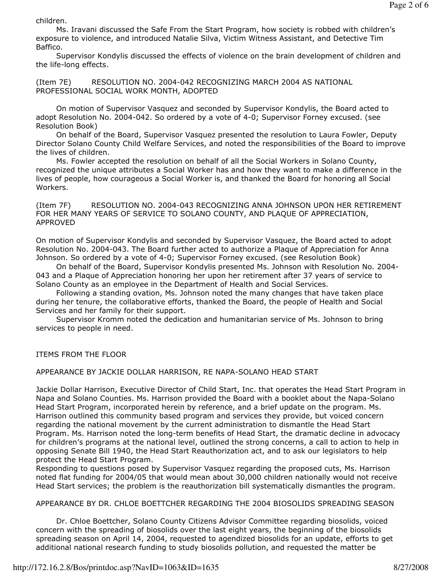children.

 Ms. Iravani discussed the Safe From the Start Program, how society is robbed with children's exposure to violence, and introduced Natalie Silva, Victim Witness Assistant, and Detective Tim Baffico.

 Supervisor Kondylis discussed the effects of violence on the brain development of children and the life-long effects.

(Item 7E) RESOLUTION NO. 2004-042 RECOGNIZING MARCH 2004 AS NATIONAL PROFESSIONAL SOCIAL WORK MONTH, ADOPTED

 On motion of Supervisor Vasquez and seconded by Supervisor Kondylis, the Board acted to adopt Resolution No. 2004-042. So ordered by a vote of 4-0; Supervisor Forney excused. (see Resolution Book)

 On behalf of the Board, Supervisor Vasquez presented the resolution to Laura Fowler, Deputy Director Solano County Child Welfare Services, and noted the responsibilities of the Board to improve the lives of children.

 Ms. Fowler accepted the resolution on behalf of all the Social Workers in Solano County, recognized the unique attributes a Social Worker has and how they want to make a difference in the lives of people, how courageous a Social Worker is, and thanked the Board for honoring all Social Workers.

(Item 7F) RESOLUTION NO. 2004-043 RECOGNIZING ANNA JOHNSON UPON HER RETIREMENT FOR HER MANY YEARS OF SERVICE TO SOLANO COUNTY, AND PLAQUE OF APPRECIATION, APPROVED

On motion of Supervisor Kondylis and seconded by Supervisor Vasquez, the Board acted to adopt Resolution No. 2004-043. The Board further acted to authorize a Plaque of Appreciation for Anna Johnson. So ordered by a vote of 4-0; Supervisor Forney excused. (see Resolution Book)

 On behalf of the Board, Supervisor Kondylis presented Ms. Johnson with Resolution No. 2004- 043 and a Plaque of Appreciation honoring her upon her retirement after 37 years of service to Solano County as an employee in the Department of Health and Social Services.

 Following a standing ovation, Ms. Johnson noted the many changes that have taken place during her tenure, the collaborative efforts, thanked the Board, the people of Health and Social Services and her family for their support.

 Supervisor Kromm noted the dedication and humanitarian service of Ms. Johnson to bring services to people in need.

ITEMS FROM THE FLOOR

APPEARANCE BY JACKIE DOLLAR HARRISON, RE NAPA-SOLANO HEAD START

Jackie Dollar Harrison, Executive Director of Child Start, Inc. that operates the Head Start Program in Napa and Solano Counties. Ms. Harrison provided the Board with a booklet about the Napa-Solano Head Start Program, incorporated herein by reference, and a brief update on the program. Ms. Harrison outlined this community based program and services they provide, but voiced concern regarding the national movement by the current administration to dismantle the Head Start Program. Ms. Harrison noted the long-term benefits of Head Start, the dramatic decline in advocacy for children's programs at the national level, outlined the strong concerns, a call to action to help in opposing Senate Bill 1940, the Head Start Reauthorization act, and to ask our legislators to help protect the Head Start Program.

Responding to questions posed by Supervisor Vasquez regarding the proposed cuts, Ms. Harrison noted flat funding for 2004/05 that would mean about 30,000 children nationally would not receive Head Start services; the problem is the reauthorization bill systematically dismantles the program.

APPEARANCE BY DR. CHLOE BOETTCHER REGARDING THE 2004 BIOSOLIDS SPREADING SEASON

 Dr. Chloe Boettcher, Solano County Citizens Advisor Committee regarding biosolids, voiced concern with the spreading of biosolids over the last eight years, the beginning of the biosolids spreading season on April 14, 2004, requested to agendized biosolids for an update, efforts to get additional national research funding to study biosolids pollution, and requested the matter be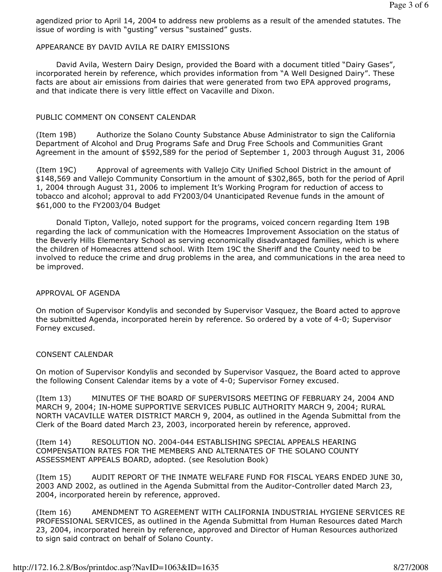agendized prior to April 14, 2004 to address new problems as a result of the amended statutes. The issue of wording is with "gusting" versus "sustained" gusts.

### APPEARANCE BY DAVID AVILA RE DAIRY EMISSIONS

 David Avila, Western Dairy Design, provided the Board with a document titled "Dairy Gases", incorporated herein by reference, which provides information from "A Well Designed Dairy". These facts are about air emissions from dairies that were generated from two EPA approved programs, and that indicate there is very little effect on Vacaville and Dixon.

## PUBLIC COMMENT ON CONSENT CALENDAR

(Item 19B) Authorize the Solano County Substance Abuse Administrator to sign the California Department of Alcohol and Drug Programs Safe and Drug Free Schools and Communities Grant Agreement in the amount of \$592,589 for the period of September 1, 2003 through August 31, 2006

(Item 19C) Approval of agreements with Vallejo City Unified School District in the amount of \$148,569 and Vallejo Community Consortium in the amount of \$302,865, both for the period of April 1, 2004 through August 31, 2006 to implement It's Working Program for reduction of access to tobacco and alcohol; approval to add FY2003/04 Unanticipated Revenue funds in the amount of \$61,000 to the FY2003/04 Budget

 Donald Tipton, Vallejo, noted support for the programs, voiced concern regarding Item 19B regarding the lack of communication with the Homeacres Improvement Association on the status of the Beverly Hills Elementary School as serving economically disadvantaged families, which is where the children of Homeacres attend school. With Item 19C the Sheriff and the County need to be involved to reduce the crime and drug problems in the area, and communications in the area need to be improved.

# APPROVAL OF AGENDA

On motion of Supervisor Kondylis and seconded by Supervisor Vasquez, the Board acted to approve the submitted Agenda, incorporated herein by reference. So ordered by a vote of 4-0; Supervisor Forney excused.

# CONSENT CALENDAR

On motion of Supervisor Kondylis and seconded by Supervisor Vasquez, the Board acted to approve the following Consent Calendar items by a vote of 4-0; Supervisor Forney excused.

(Item 13) MINUTES OF THE BOARD OF SUPERVISORS MEETING OF FEBRUARY 24, 2004 AND MARCH 9, 2004; IN-HOME SUPPORTIVE SERVICES PUBLIC AUTHORITY MARCH 9, 2004; RURAL NORTH VACAVILLE WATER DISTRICT MARCH 9, 2004, as outlined in the Agenda Submittal from the Clerk of the Board dated March 23, 2003, incorporated herein by reference, approved.

(Item 14) RESOLUTION NO. 2004-044 ESTABLISHING SPECIAL APPEALS HEARING COMPENSATION RATES FOR THE MEMBERS AND ALTERNATES OF THE SOLANO COUNTY ASSESSMENT APPEALS BOARD, adopted. (see Resolution Book)

(Item 15) AUDIT REPORT OF THE INMATE WELFARE FUND FOR FISCAL YEARS ENDED JUNE 30, 2003 AND 2002, as outlined in the Agenda Submittal from the Auditor-Controller dated March 23, 2004, incorporated herein by reference, approved.

(Item 16) AMENDMENT TO AGREEMENT WITH CALIFORNIA INDUSTRIAL HYGIENE SERVICES RE PROFESSIONAL SERVICES, as outlined in the Agenda Submittal from Human Resources dated March 23, 2004, incorporated herein by reference, approved and Director of Human Resources authorized to sign said contract on behalf of Solano County.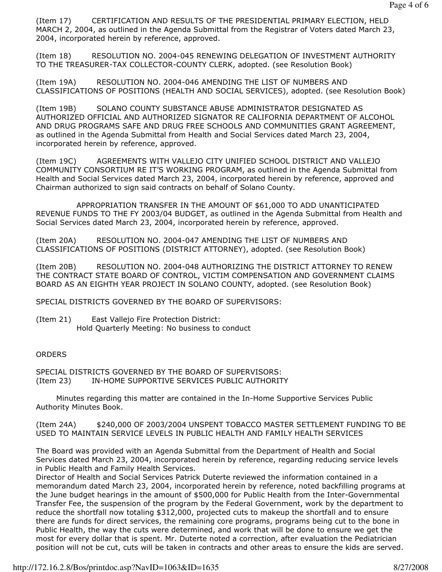(Item 17) CERTIFICATION AND RESULTS OF THE PRESIDENTIAL PRIMARY ELECTION, HELD MARCH 2, 2004, as outlined in the Agenda Submittal from the Registrar of Voters dated March 23, 2004, incorporated herein by reference, approved.

(Item 18) RESOLUTION NO. 2004-045 RENEWING DELEGATION OF INVESTMENT AUTHORITY TO THE TREASURER-TAX COLLECTOR-COUNTY CLERK, adopted. (see Resolution Book)

(Item 19A) RESOLUTION NO. 2004-046 AMENDING THE LIST OF NUMBERS AND CLASSIFICATIONS OF POSITIONS (HEALTH AND SOCIAL SERVICES), adopted. (see Resolution Book)

(Item 19B) SOLANO COUNTY SUBSTANCE ABUSE ADMINISTRATOR DESIGNATED AS AUTHORIZED OFFICIAL AND AUTHORIZED SIGNATOR RE CALIFORNIA DEPARTMENT OF ALCOHOL AND DRUG PROGRAMS SAFE AND DRUG FREE SCHOOLS AND COMMUNITIES GRANT AGREEMENT, as outlined in the Agenda Submittal from Health and Social Services dated March 23, 2004, incorporated herein by reference, approved.

(Item 19C) AGREEMENTS WITH VALLEJO CITY UNIFIED SCHOOL DISTRICT AND VALLEJO COMMUNITY CONSORTIUM RE IT'S WORKING PROGRAM, as outlined in the Agenda Submittal from Health and Social Services dated March 23, 2004, incorporated herein by reference, approved and Chairman authorized to sign said contracts on behalf of Solano County.

 APPROPRIATION TRANSFER IN THE AMOUNT OF \$61,000 TO ADD UNANTICIPATED REVENUE FUNDS TO THE FY 2003/04 BUDGET, as outlined in the Agenda Submittal from Health and Social Services dated March 23, 2004, incorporated herein by reference, approved.

(Item 20A) RESOLUTION NO. 2004-047 AMENDING THE LIST OF NUMBERS AND CLASSIFICATIONS OF POSITIONS (DISTRICT ATTORNEY), adopted. (see Resolution Book)

(Item 20B) RESOLUTION NO. 2004-048 AUTHORIZING THE DISTRICT ATTORNEY TO RENEW THE CONTRACT STATE BOARD OF CONTROL, VICTIM COMPENSATION AND GOVERNMENT CLAIMS BOARD AS AN EIGHTH YEAR PROJECT IN SOLANO COUNTY, adopted. (see Resolution Book)

SPECIAL DISTRICTS GOVERNED BY THE BOARD OF SUPERVISORS:

(Item 21) East Vallejo Fire Protection District: Hold Quarterly Meeting: No business to conduct

#### **ORDERS**

SPECIAL DISTRICTS GOVERNED BY THE BOARD OF SUPERVISORS: (Item 23) IN-HOME SUPPORTIVE SERVICES PUBLIC AUTHORITY

 Minutes regarding this matter are contained in the In-Home Supportive Services Public Authority Minutes Book.

(Item 24A) \$240,000 OF 2003/2004 UNSPENT TOBACCO MASTER SETTLEMENT FUNDING TO BE USED TO MAINTAIN SERVICE LEVELS IN PUBLIC HEALTH AND FAMILY HEALTH SERVICES

The Board was provided with an Agenda Submittal from the Department of Health and Social Services dated March 23, 2004, incorporated herein by reference, regarding reducing service levels in Public Health and Family Health Services.

Director of Health and Social Services Patrick Duterte reviewed the information contained in a memorandum dated March 23, 2004, incorporated herein by reference, noted backfilling programs at the June budget hearings in the amount of \$500,000 for Public Health from the Inter-Governmental Transfer Fee, the suspension of the program by the Federal Government, work by the department to reduce the shortfall now totaling \$312,000, projected cuts to makeup the shortfall and to ensure there are funds for direct services, the remaining core programs, programs being cut to the bone in Public Health, the way the cuts were determined, and work that will be done to ensure we get the most for every dollar that is spent. Mr. Duterte noted a correction, after evaluation the Pediatrician position will not be cut, cuts will be taken in contracts and other areas to ensure the kids are served.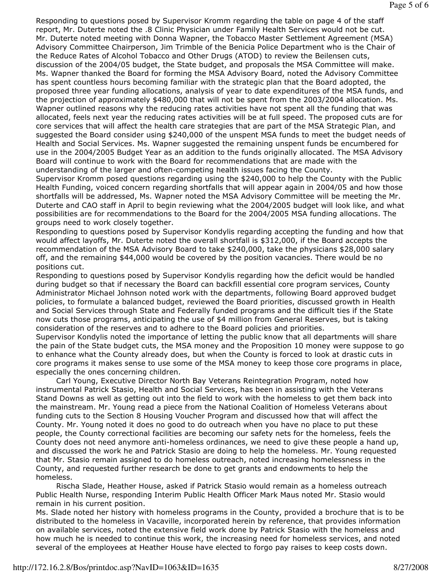Responding to questions posed by Supervisor Kromm regarding the table on page 4 of the staff report, Mr. Duterte noted the .8 Clinic Physician under Family Health Services would not be cut. Mr. Duterte noted meeting with Donna Wapner, the Tobacco Master Settlement Agreement (MSA) Advisory Committee Chairperson, Jim Trimble of the Benicia Police Department who is the Chair of the Reduce Rates of Alcohol Tobacco and Other Drugs (ATOD) to review the Beilensen cuts, discussion of the 2004/05 budget, the State budget, and proposals the MSA Committee will make. Ms. Wapner thanked the Board for forming the MSA Advisory Board, noted the Advisory Committee has spent countless hours becoming familiar with the strategic plan that the Board adopted, the proposed three year funding allocations, analysis of year to date expenditures of the MSA funds, and the projection of approximately \$480,000 that will not be spent from the 2003/2004 allocation. Ms. Wapner outlined reasons why the reducing rates activities have not spent all the funding that was allocated, feels next year the reducing rates activities will be at full speed. The proposed cuts are for core services that will affect the health care strategies that are part of the MSA Strategic Plan, and suggested the Board consider using \$240,000 of the unspent MSA funds to meet the budget needs of Health and Social Services. Ms. Wapner suggested the remaining unspent funds be encumbered for use in the 2004/2005 Budget Year as an addition to the funds originally allocated. The MSA Advisory Board will continue to work with the Board for recommendations that are made with the understanding of the larger and often-competing health issues facing the County.

Supervisor Kromm posed questions regarding using the \$240,000 to help the County with the Public Health Funding, voiced concern regarding shortfalls that will appear again in 2004/05 and how those shortfalls will be addressed, Ms. Wapner noted the MSA Advisory Committee will be meeting the Mr. Duterte and CAO staff in April to begin reviewing what the 2004/2005 budget will look like, and what possibilities are for recommendations to the Board for the 2004/2005 MSA funding allocations. The groups need to work closely together.

Responding to questions posed by Supervisor Kondylis regarding accepting the funding and how that would affect layoffs, Mr. Duterte noted the overall shortfall is \$312,000, if the Board accepts the recommendation of the MSA Advisory Board to take \$240,000, take the physicians \$28,000 salary off, and the remaining \$44,000 would be covered by the position vacancies. There would be no positions cut.

Responding to questions posed by Supervisor Kondylis regarding how the deficit would be handled during budget so that if necessary the Board can backfill essential core program services, County Administrator Michael Johnson noted work with the departments, following Board approved budget policies, to formulate a balanced budget, reviewed the Board priorities, discussed growth in Health and Social Services through State and Federally funded programs and the difficult ties if the State now cuts those programs, anticipating the use of \$4 million from General Reserves, but is taking consideration of the reserves and to adhere to the Board policies and priorities.

Supervisor Kondylis noted the importance of letting the public know that all departments will share the pain of the State budget cuts, the MSA money and the Proposition 10 money were suppose to go to enhance what the County already does, but when the County is forced to look at drastic cuts in core programs it makes sense to use some of the MSA money to keep those core programs in place, especially the ones concerning children.

 Carl Young, Executive Director North Bay Veterans Reintegration Program, noted how instrumental Patrick Stasio, Health and Social Services, has been in assisting with the Veterans Stand Downs as well as getting out into the field to work with the homeless to get them back into the mainstream. Mr. Young read a piece from the National Coalition of Homeless Veterans about funding cuts to the Section 8 Housing Voucher Program and discussed how that will affect the County. Mr. Young noted it does no good to do outreach when you have no place to put these people, the County correctional facilities are becoming our safety nets for the homeless, feels the County does not need anymore anti-homeless ordinances, we need to give these people a hand up, and discussed the work he and Patrick Stasio are doing to help the homeless. Mr. Young requested that Mr. Stasio remain assigned to do homeless outreach, noted increasing homelessness in the County, and requested further research be done to get grants and endowments to help the homeless.

 Rischa Slade, Heather House, asked if Patrick Stasio would remain as a homeless outreach Public Health Nurse, responding Interim Public Health Officer Mark Maus noted Mr. Stasio would remain in his current position.

Ms. Slade noted her history with homeless programs in the County, provided a brochure that is to be distributed to the homeless in Vacaville, incorporated herein by reference, that provides information on available services, noted the extensive field work done by Patrick Stasio with the homeless and how much he is needed to continue this work, the increasing need for homeless services, and noted several of the employees at Heather House have elected to forgo pay raises to keep costs down.